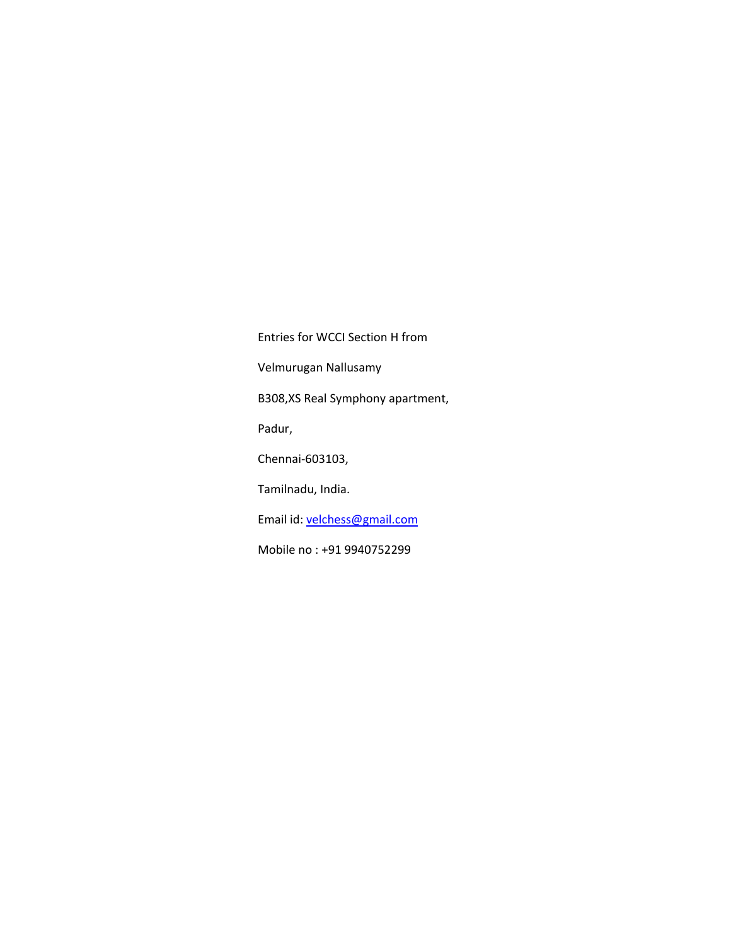Entries for WCCI Section H from Velmurugan Nallusamy B308,XS Real Symphony apartment, Padur, Chennai-603103, Tamilnadu, India. Email id[: velchess@gmail.com](mailto:velchess@gmail.com) Mobile no : +91 9940752299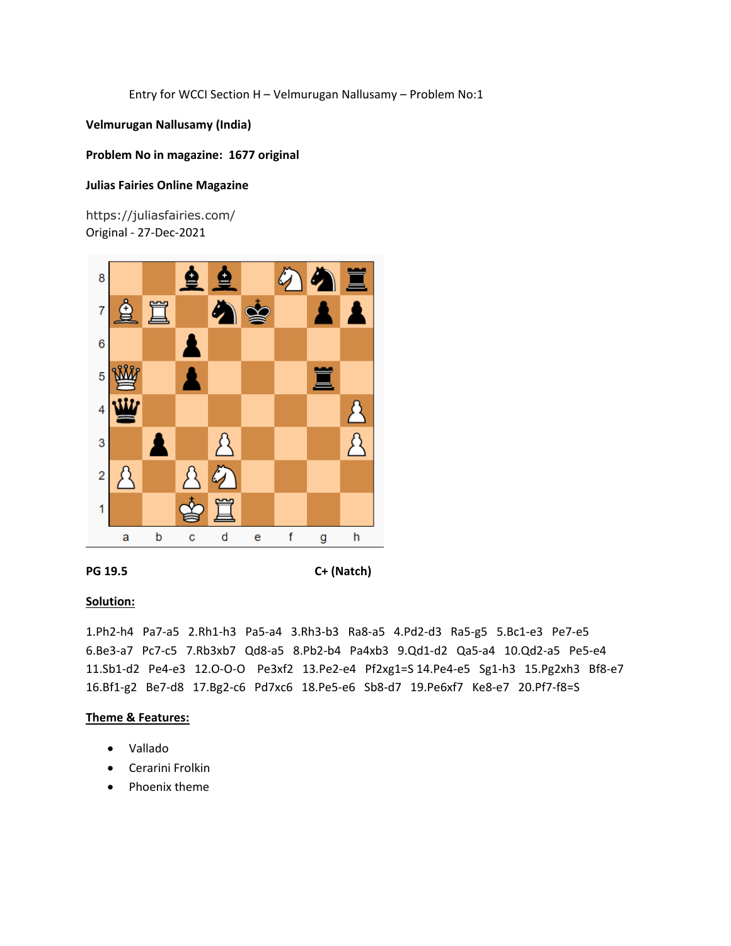**Velmurugan Nallusamy (India)**

## **Problem No in magazine: 1677 original**

## **Julias Fairies Online Magazine**

https://juliasfairies.com/ Original - 27-Dec-2021



**PG 19.5 C+ (Natch)**

## **Solution:**

1.Ph2-h4 Pa7-a5 2.Rh1-h3 Pa5-a4 3.Rh3-b3 Ra8-a5 4.Pd2-d3 Ra5-g5 5.Bc1-e3 Pe7-e5 6.Be3-a7 Pc7-c5 7.Rb3xb7 Qd8-a5 8.Pb2-b4 Pa4xb3 9.Qd1-d2 Qa5-a4 10.Qd2-a5 Pe5-e4 11.Sb1-d2 Pe4-e3 12.O-O-O Pe3xf2 13.Pe2-e4 Pf2xg1=S 14.Pe4-e5 Sg1-h3 15.Pg2xh3 Bf8-e7 16.Bf1-g2 Be7-d8 17.Bg2-c6 Pd7xc6 18.Pe5-e6 Sb8-d7 19.Pe6xf7 Ke8-e7 20.Pf7-f8=S

- Vallado
- Cerarini Frolkin
- Phoenix theme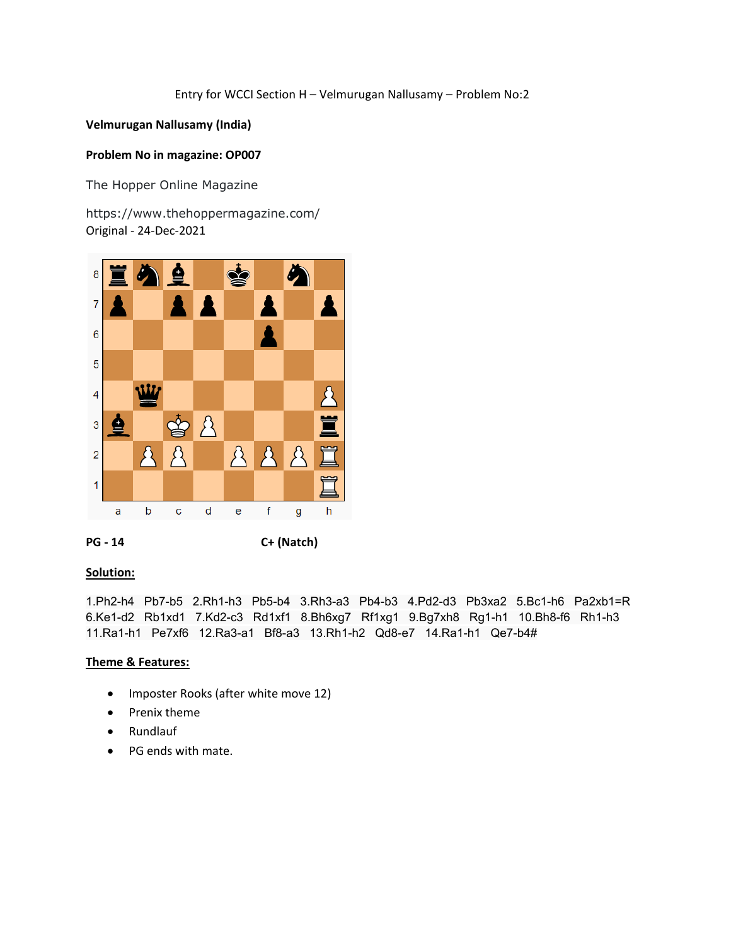# **Velmurugan Nallusamy (India)**

## **Problem No in magazine: OP007**

The Hopper Online Magazine

https://www.thehoppermagazine.com/ Original - 24-Dec-2021



**PG - 14 C+ (Natch)**

## **Solution:**

1.Ph2-h4 Pb7-b5 2.Rh1-h3 Pb5-b4 3.Rh3-a3 Pb4-b3 4.Pd2-d3 Pb3xa2 5.Bc1-h6 Pa2xb1=R 6.Ke1-d2 Rb1xd1 7.Kd2-c3 Rd1xf1 8.Bh6xg7 Rf1xg1 9.Bg7xh8 Rg1-h1 10.Bh8-f6 Rh1-h3 11.Ra1-h1 Pe7xf6 12.Ra3-a1 Bf8-a3 13.Rh1-h2 Qd8-e7 14.Ra1-h1 Qe7-b4#

- Imposter Rooks (after white move 12)
- Prenix theme
- Rundlauf
- PG ends with mate.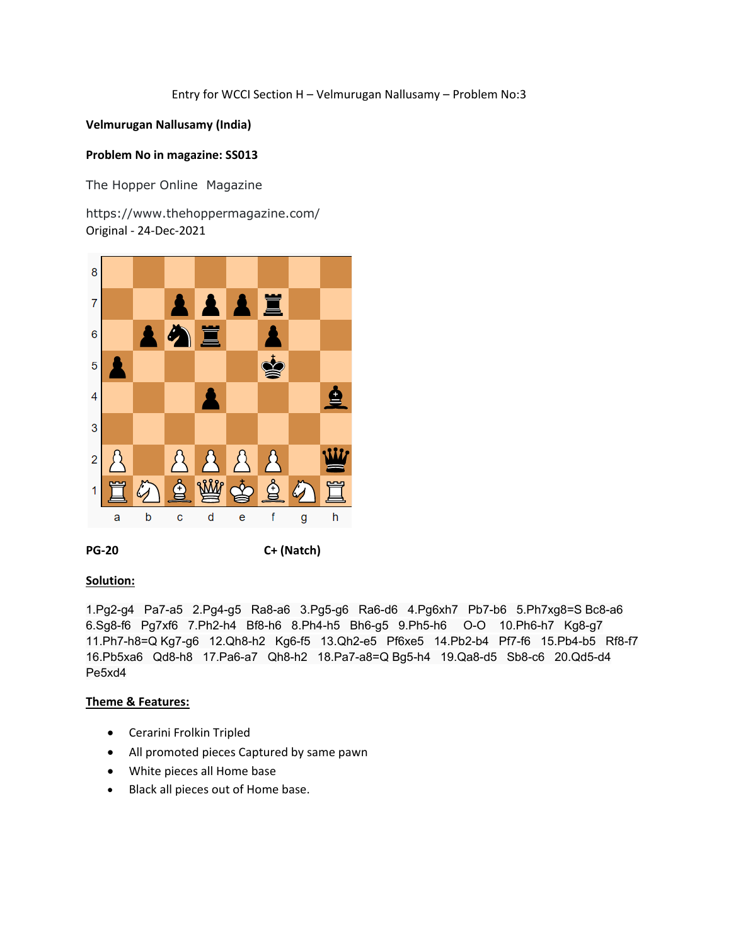# **Velmurugan Nallusamy (India)**

# **Problem No in magazine: SS013**

The Hopper Online Magazine

https://www.thehoppermagazine.com/ Original - 24-Dec-2021



**PG-20 C+ (Natch)**

## **Solution:**

1.Pg2-g4 Pa7-a5 2.Pg4-g5 Ra8-a6 3.Pg5-g6 Ra6-d6 4.Pg6xh7 Pb7-b6 5.Ph7xg8=S Bc8-a6 6.Sg8-f6 Pg7xf6 7.Ph2-h4 Bf8-h6 8.Ph4-h5 Bh6-g5 9.Ph5-h6 O-O 10.Ph6-h7 Kg8-g7 11.Ph7-h8=Q Kg7-g6 12.Qh8-h2 Kg6-f5 13.Qh2-e5 Pf6xe5 14.Pb2-b4 Pf7-f6 15.Pb4-b5 Rf8-f7 16.Pb5xa6 Qd8-h8 17.Pa6-a7 Qh8-h2 18.Pa7-a8=Q Bg5-h4 19.Qa8-d5 Sb8-c6 20.Qd5-d4 Pe5xd4

- Cerarini Frolkin Tripled
- All promoted pieces Captured by same pawn
- White pieces all Home base
- Black all pieces out of Home base.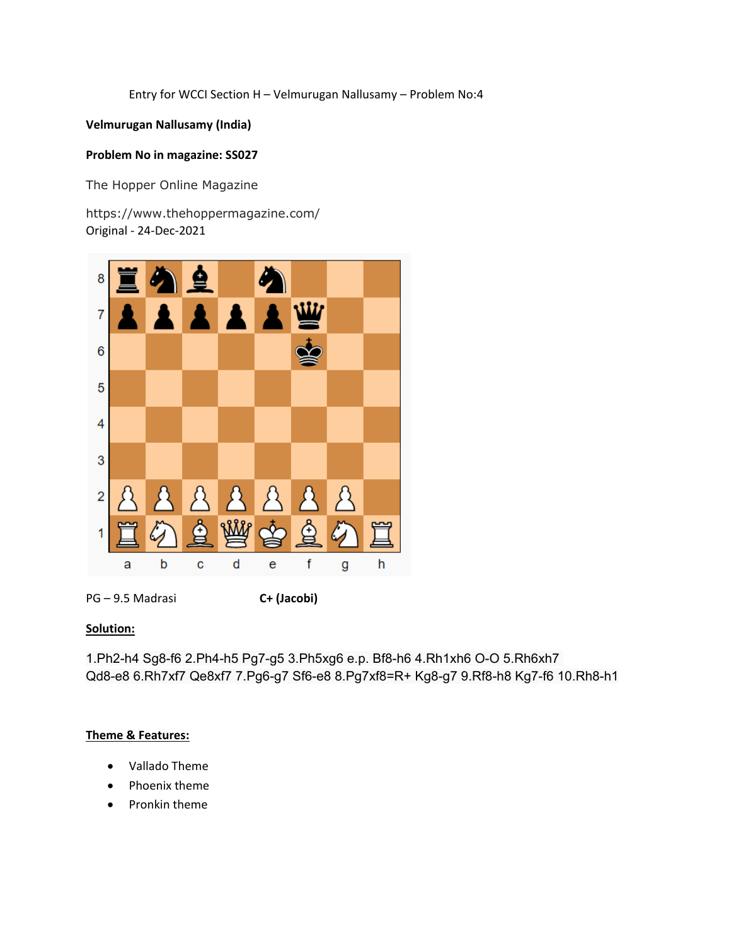# **Velmurugan Nallusamy (India)**

# **Problem No in magazine: SS027**

The Hopper Online Magazine

https://www.thehoppermagazine.com/ Original - 24-Dec-2021



PG – 9.5 Madrasi **C+ (Jacobi)**

# **Solution:**

1.Ph2-h4 Sg8-f6 2.Ph4-h5 Pg7-g5 3.Ph5xg6 e.p. Bf8-h6 4.Rh1xh6 O-O 5.Rh6xh7 Qd8-e8 6.Rh7xf7 Qe8xf7 7.Pg6-g7 Sf6-e8 8.Pg7xf8=R+ Kg8-g7 9.Rf8-h8 Kg7-f6 10.Rh8-h1

- Vallado Theme
- Phoenix theme
- Pronkin theme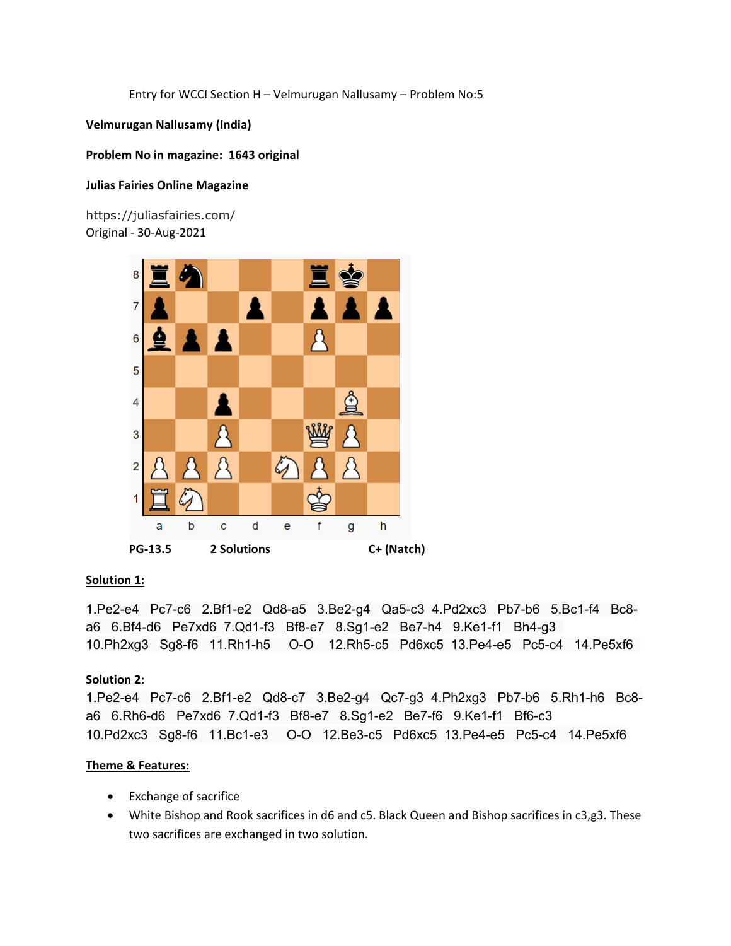**Velmurugan Nallusamy (India)**

## **Problem No in magazine: 1643 original**

## **Julias Fairies Online Magazine**

https://juliasfairies.com/ Original - 30-Aug-2021



# **Solution 1:**

1.Pe2-e4 Pc7-c6 2.Bf1-e2 Qd8-a5 3.Be2-g4 Qa5-c3 4.Pd2xc3 Pb7-b6 5.Bc1-f4 Bc8 a6 6.Bf4-d6 Pe7xd6 7.Qd1-f3 Bf8-e7 8.Sg1-e2 Be7-h4 9.Ke1-f1 Bh4-g3 10.Ph2xg3 Sg8-f6 11.Rh1-h5 O-O 12.Rh5-c5 Pd6xc5 13.Pe4-e5 Pc5-c4 14.Pe5xf6

# **Solution 2:**

1.Pe2-e4 Pc7-c6 2.Bf1-e2 Qd8-c7 3.Be2-g4 Qc7-g3 4.Ph2xg3 Pb7-b6 5.Rh1-h6 Bc8 a6 6.Rh6-d6 Pe7xd6 7.Qd1-f3 Bf8-e7 8.Sg1-e2 Be7-f6 9.Ke1-f1 Bf6-c3 10.Pd2xc3 Sg8-f6 11.Bc1-e3 O-O 12.Be3-c5 Pd6xc5 13.Pe4-e5 Pc5-c4 14.Pe5xf6

- Exchange of sacrifice
- White Bishop and Rook sacrifices in d6 and c5. Black Queen and Bishop sacrifices in c3,g3. These two sacrifices are exchanged in two solution.